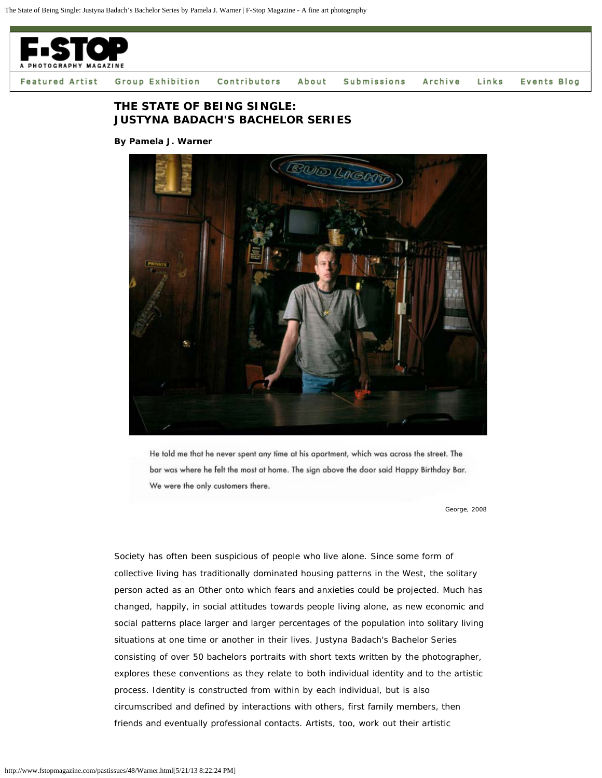

## **THE STATE OF BEING SINGLE: JUSTYNA BADACH'S BACHELOR SERIES**

**By Pamela J. Warner**



He told me that he never spent any time at his apartment, which was across the street. The bar was where he felt the most at home. The sign above the door said Happy Birthday Bar. We were the only customers there.

*George, 2008*

Society has often been suspicious of people who live alone. Since some form of collective living has traditionally dominated housing patterns in the West, the solitary person acted as an Other onto which fears and anxieties could be projected. Much has changed, happily, in social attitudes towards people living alone, as new economic and social patterns place larger and larger percentages of the population into solitary living situations at one time or another in their lives. Justyna Badach's Bachelor Series consisting of over 50 bachelors portraits with short texts written by the photographer, explores these conventions as they relate to both individual identity and to the artistic process. Identity is constructed from within by each individual, but is also circumscribed and defined by interactions with others, first family members, then friends and eventually professional contacts. Artists, too, work out their artistic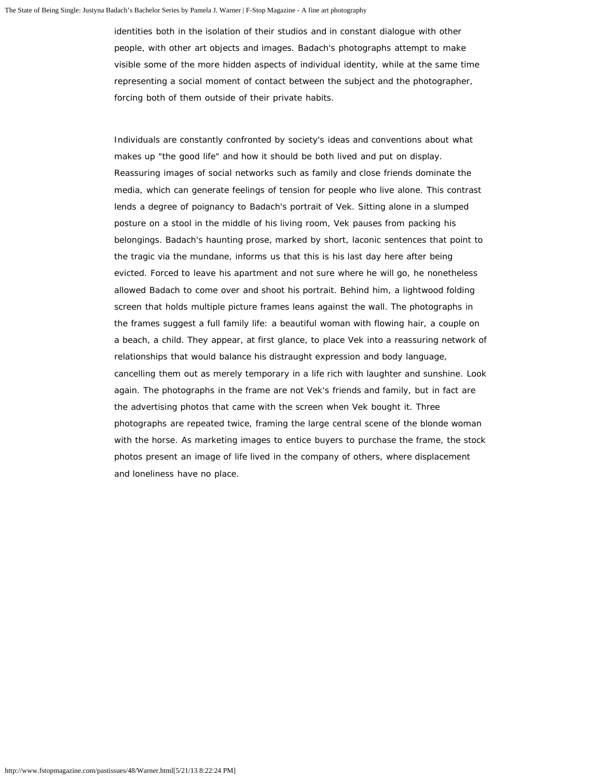identities both in the isolation of their studios and in constant dialogue with other people, with other art objects and images. Badach's photographs attempt to make visible some of the more hidden aspects of individual identity, while at the same time representing a social moment of contact between the subject and the photographer, forcing both of them outside of their private habits.

Individuals are constantly confronted by society's ideas and conventions about what makes up "the good life" and how it should be both lived and put on display. Reassuring images of social networks such as family and close friends dominate the media, which can generate feelings of tension for people who live alone. This contrast lends a degree of poignancy to Badach's portrait of Vek. Sitting alone in a slumped posture on a stool in the middle of his living room, Vek pauses from packing his belongings. Badach's haunting prose, marked by short, laconic sentences that point to the tragic via the mundane, informs us that this is his last day here after being evicted. Forced to leave his apartment and not sure where he will go, he nonetheless allowed Badach to come over and shoot his portrait. Behind him, a lightwood folding screen that holds multiple picture frames leans against the wall. The photographs in the frames suggest a full family life: a beautiful woman with flowing hair, a couple on a beach, a child. They appear, at first glance, to place Vek into a reassuring network of relationships that would balance his distraught expression and body language, cancelling them out as merely temporary in a life rich with laughter and sunshine. Look again. The photographs in the frame are not Vek's friends and family, but in fact are the advertising photos that came with the screen when Vek bought it. Three photographs are repeated twice, framing the large central scene of the blonde woman with the horse. As marketing images to entice buyers to purchase the frame, the stock photos present an image of life lived in the company of others, where displacement and loneliness have no place.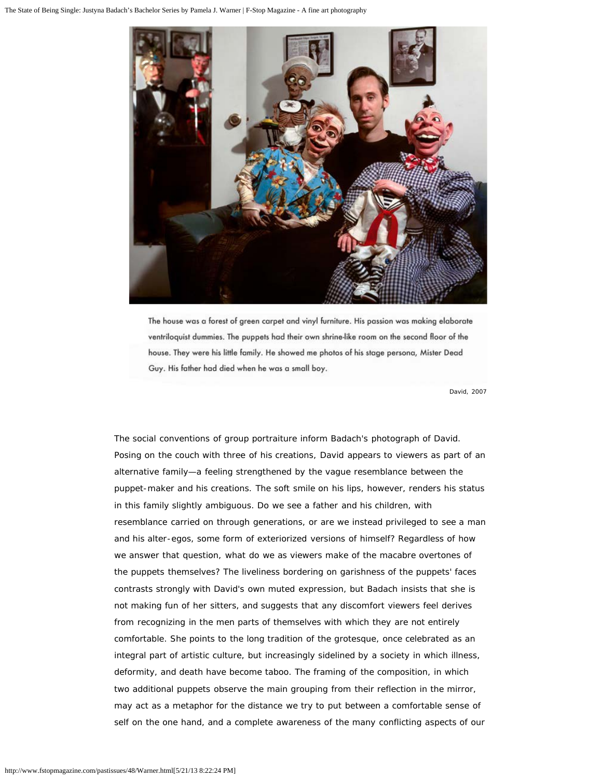

The house was a forest of green carpet and vinyl furniture. His passion was making elaborate ventriloquist dummies. The puppets had their own shrine-like room on the second floor of the house. They were his little family. He showed me photos of his stage persona, Mister Dead Guy. His father had died when he was a small boy.

*David, 2007*

The social conventions of group portraiture inform Badach's photograph of David. Posing on the couch with three of his creations, David appears to viewers as part of an alternative family—a feeling strengthened by the vague resemblance between the puppet-maker and his creations. The soft smile on his lips, however, renders his status in this family slightly ambiguous. Do we see a father and his children, with resemblance carried on through generations, or are we instead privileged to see a man and his alter-egos, some form of exteriorized versions of himself? Regardless of how we answer that question, what do we as viewers make of the macabre overtones of the puppets themselves? The liveliness bordering on garishness of the puppets' faces contrasts strongly with David's own muted expression, but Badach insists that she is not making fun of her sitters, and suggests that any discomfort viewers feel derives from recognizing in the men parts of themselves with which they are not entirely comfortable. She points to the long tradition of the grotesque, once celebrated as an integral part of artistic culture, but increasingly sidelined by a society in which illness, deformity, and death have become taboo. The framing of the composition, in which two additional puppets observe the main grouping from their reflection in the mirror, may act as a metaphor for the distance we try to put between a comfortable sense of self on the one hand, and a complete awareness of the many conflicting aspects of our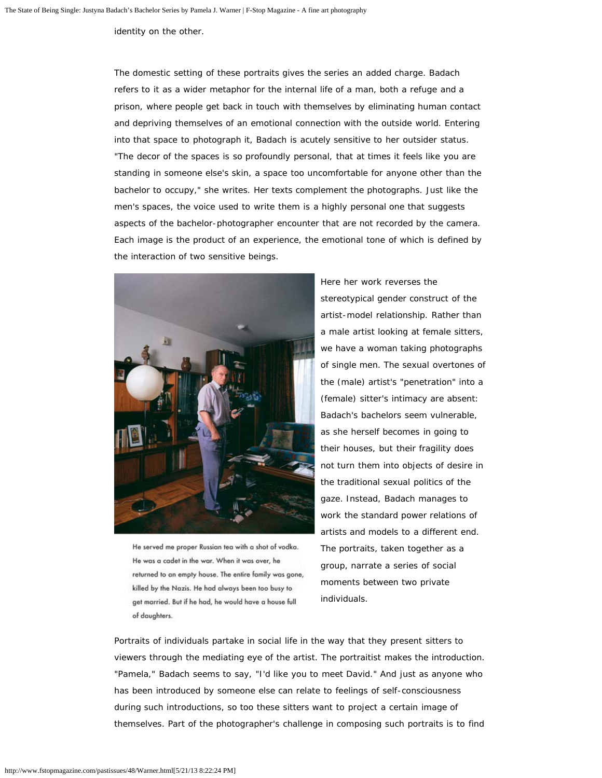identity on the other.

The domestic setting of these portraits gives the series an added charge. Badach refers to it as a wider metaphor for the internal life of a man, both a refuge and a prison, where people get back in touch with themselves by eliminating human contact and depriving themselves of an emotional connection with the outside world. Entering into that space to photograph it, Badach is acutely sensitive to her outsider status. "The decor of the spaces is so profoundly personal, that at times it feels like you are standing in someone else's skin, a space too uncomfortable for anyone other than the bachelor to occupy," she writes. Her texts complement the photographs. Just like the men's spaces, the voice used to write them is a highly personal one that suggests aspects of the bachelor-photographer encounter that are not recorded by the camera. Each image is the product of an experience, the emotional tone of which is defined by the interaction of two sensitive beings.



He served me proper Russian tea with a shot of vodka. He was a cadet in the war. When it was over, he returned to an empty house. The entire family was gone, killed by the Nazis. He had always been too busy to get married. But if he had, he would have a house full of daughters.

Here her work reverses the stereotypical gender construct of the artist-model relationship. Rather than a male artist looking at female sitters, we have a woman taking photographs of single men. The sexual overtones of the (male) artist's "penetration" into a (female) sitter's intimacy are absent: Badach's bachelors seem vulnerable, as she herself becomes in going to their houses, but their fragility does not turn them into objects of desire in the traditional sexual politics of the gaze. Instead, Badach manages to work the standard power relations of artists and models to a different end. The portraits, taken together as a group, narrate a series of social moments between two private individuals.

Portraits of individuals partake in social life in the way that they present sitters to viewers through the mediating eye of the artist. The portraitist makes the introduction. "Pamela," Badach seems to say, "I'd like you to meet David." And just as anyone who has been introduced by someone else can relate to feelings of self-consciousness during such introductions, so too these sitters want to project a certain image of themselves. Part of the photographer's challenge in composing such portraits is to find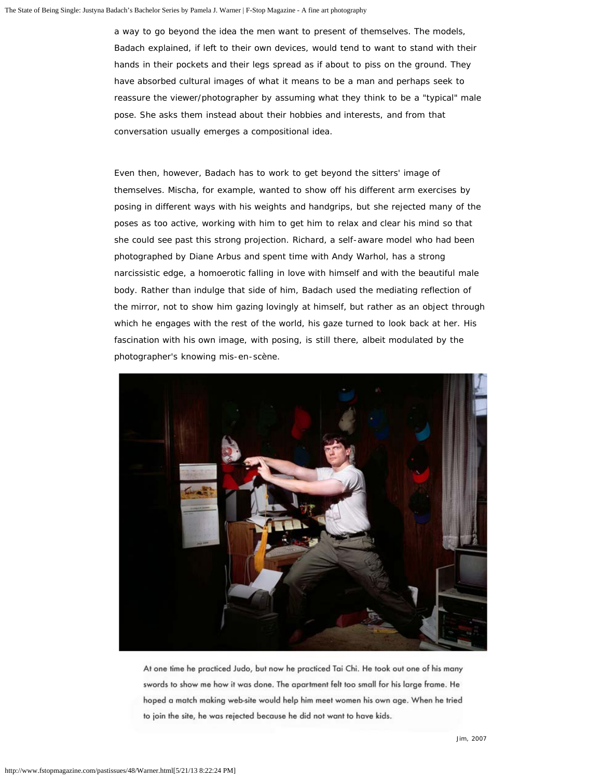a way to go beyond the idea the men want to present of themselves. The models, Badach explained, if left to their own devices, would tend to want to stand with their hands in their pockets and their legs spread as if about to piss on the ground. They have absorbed cultural images of what it means to be a man and perhaps seek to reassure the viewer/photographer by assuming what they think to be a "typical" male pose. She asks them instead about their hobbies and interests, and from that conversation usually emerges a compositional idea.

Even then, however, Badach has to work to get beyond the sitters' image of themselves. Mischa, for example, wanted to show off his different arm exercises by posing in different ways with his weights and handgrips, but she rejected many of the poses as too active, working with him to get him to relax and clear his mind so that she could see past this strong projection. Richard, a self-aware model who had been photographed by Diane Arbus and spent time with Andy Warhol, has a strong narcissistic edge, a homoerotic falling in love with himself and with the beautiful male body. Rather than indulge that side of him, Badach used the mediating reflection of the mirror, not to show him gazing lovingly at himself, but rather as an object through which he engages with the rest of the world, his gaze turned to look back at her. His fascination with his own image, with posing, is still there, albeit modulated by the photographer's knowing mis-en-scène.



At one time he practiced Judo, but now he practiced Tai Chi. He took out one of his many swords to show me how it was done. The apartment felt too small for his large frame. He hoped a match making web-site would help him meet women his own age. When he tried to join the site, he was rejected because he did not want to have kids.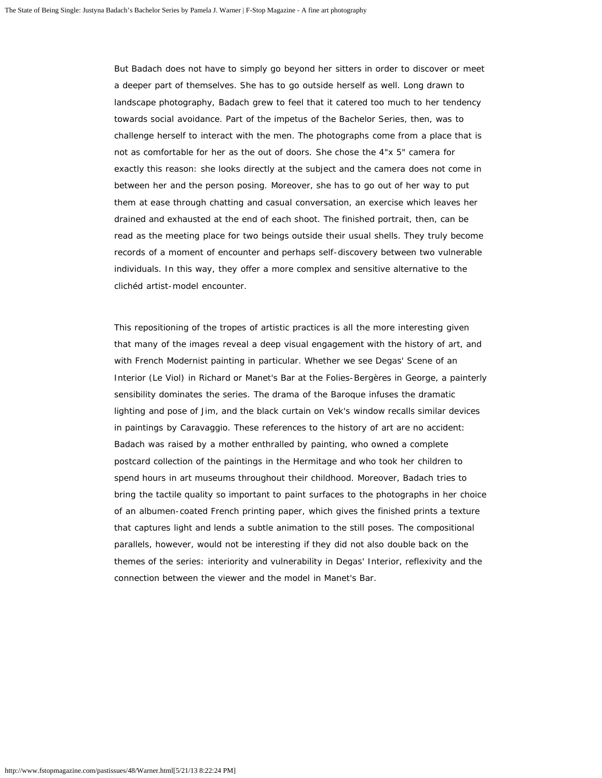But Badach does not have to simply go beyond her sitters in order to discover or meet a deeper part of themselves. She has to go outside herself as well. Long drawn to landscape photography, Badach grew to feel that it catered too much to her tendency towards social avoidance. Part of the impetus of the Bachelor Series, then, was to challenge herself to interact with the men. The photographs come from a place that is not as comfortable for her as the out of doors. She chose the 4"x 5" camera for exactly this reason: she looks directly at the subject and the camera does not come in between her and the person posing. Moreover, she has to go out of her way to put them at ease through chatting and casual conversation, an exercise which leaves her drained and exhausted at the end of each shoot. The finished portrait, then, can be read as the meeting place for two beings outside their usual shells. They truly become records of a moment of encounter and perhaps self-discovery between two vulnerable individuals. In this way, they offer a more complex and sensitive alternative to the clichéd artist-model encounter.

This repositioning of the tropes of artistic practices is all the more interesting given that many of the images reveal a deep visual engagement with the history of art, and with French Modernist painting in particular. Whether we see Degas' Scene of an Interior (Le Viol) in Richard or Manet's Bar at the Folies-Bergères in George, a painterly sensibility dominates the series. The drama of the Baroque infuses the dramatic lighting and pose of Jim, and the black curtain on Vek's window recalls similar devices in paintings by Caravaggio. These references to the history of art are no accident: Badach was raised by a mother enthralled by painting, who owned a complete postcard collection of the paintings in the Hermitage and who took her children to spend hours in art museums throughout their childhood. Moreover, Badach tries to bring the tactile quality so important to paint surfaces to the photographs in her choice of an albumen-coated French printing paper, which gives the finished prints a texture that captures light and lends a subtle animation to the still poses. The compositional parallels, however, would not be interesting if they did not also double back on the themes of the series: interiority and vulnerability in Degas' Interior, reflexivity and the connection between the viewer and the model in Manet's Bar.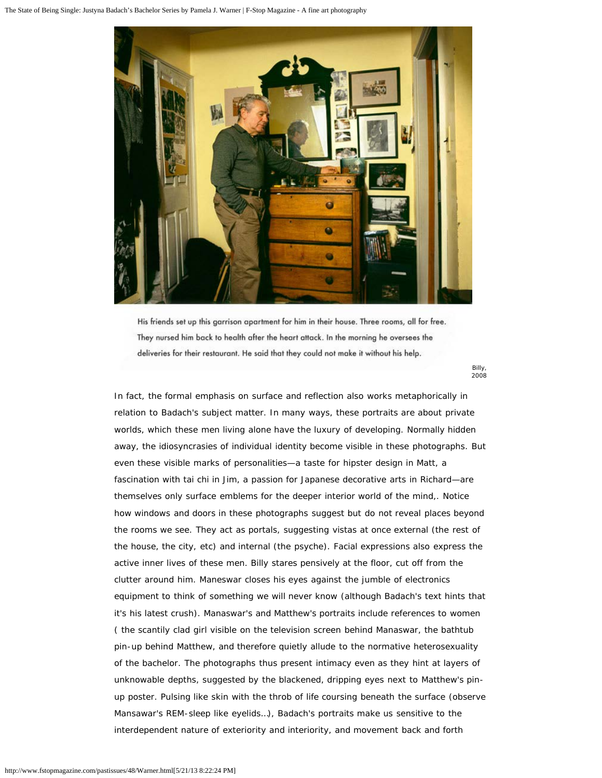

His friends set up this garrison apartment for him in their house. Three rooms, all for free. They nursed him back to health after the heart attack. In the morning he oversees the deliveries for their restaurant. He said that they could not make it without his help.

> *Billy, 2008*

In fact, the formal emphasis on surface and reflection also works metaphorically in relation to Badach's subject matter. In many ways, these portraits are about private worlds, which these men living alone have the luxury of developing. Normally hidden away, the idiosyncrasies of individual identity become visible in these photographs. But even these visible marks of personalities—a taste for hipster design in Matt, a fascination with tai chi in Jim, a passion for Japanese decorative arts in Richard—are themselves only surface emblems for the deeper interior world of the mind,. Notice how windows and doors in these photographs suggest but do not reveal places beyond the rooms we see. They act as portals, suggesting vistas at once external (the rest of the house, the city, etc) and internal (the psyche). Facial expressions also express the active inner lives of these men. Billy stares pensively at the floor, cut off from the clutter around him. Maneswar closes his eyes against the jumble of electronics equipment to think of something we will never know (although Badach's text hints that it's his latest crush). Manaswar's and Matthew's portraits include references to women ( the scantily clad girl visible on the television screen behind Manaswar, the bathtub pin-up behind Matthew, and therefore quietly allude to the normative heterosexuality of the bachelor. The photographs thus present intimacy even as they hint at layers of unknowable depths, suggested by the blackened, dripping eyes next to Matthew's pinup poster. Pulsing like skin with the throb of life coursing beneath the surface (observe Mansawar's REM-sleep like eyelids…), Badach's portraits make us sensitive to the interdependent nature of exteriority and interiority, and movement back and forth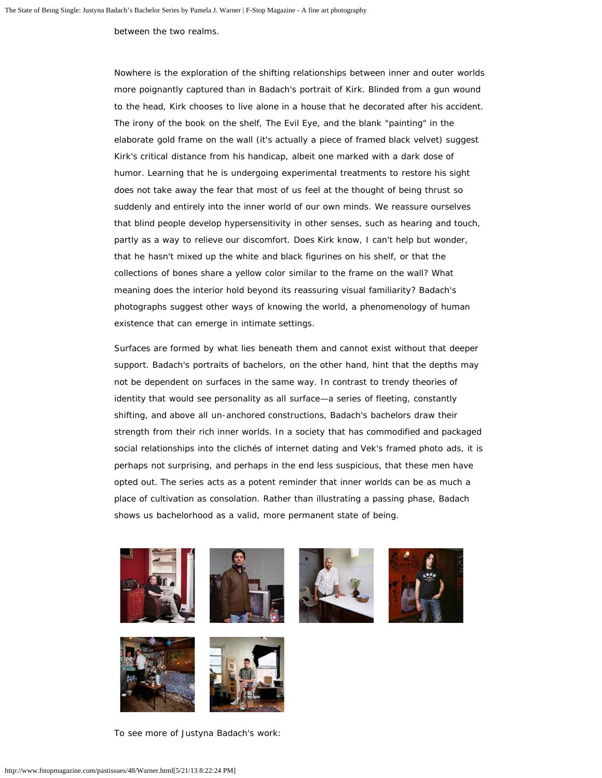between the two realms.

Nowhere is the exploration of the shifting relationships between inner and outer worlds more poignantly captured than in Badach's portrait of Kirk. Blinded from a gun wound to the head, Kirk chooses to live alone in a house that he decorated after his accident. The irony of the book on the shelf, The Evil Eye, and the blank "painting" in the elaborate gold frame on the wall (it's actually a piece of framed black velvet) suggest Kirk's critical distance from his handicap, albeit one marked with a dark dose of humor. Learning that he is undergoing experimental treatments to restore his sight does not take away the fear that most of us feel at the thought of being thrust so suddenly and entirely into the inner world of our own minds. We reassure ourselves that blind people develop hypersensitivity in other senses, such as hearing and touch, partly as a way to relieve our discomfort. Does Kirk know, I can't help but wonder, that he hasn't mixed up the white and black figurines on his shelf, or that the collections of bones share a yellow color similar to the frame on the wall? What meaning does the interior hold beyond its reassuring visual familiarity? Badach's photographs suggest other ways of knowing the world, a phenomenology of human existence that can emerge in intimate settings.

Surfaces are formed by what lies beneath them and cannot exist without that deeper support. Badach's portraits of bachelors, on the other hand, hint that the depths may not be dependent on surfaces in the same way. In contrast to trendy theories of identity that would see personality as all surface—a series of fleeting, constantly shifting, and above all un-anchored constructions, Badach's bachelors draw their strength from their rich inner worlds. In a society that has commodified and packaged social relationships into the clichés of internet dating and Vek's framed photo ads, it is perhaps not surprising, and perhaps in the end less suspicious, that these men have opted out. The series acts as a potent reminder that inner worlds can be as much a place of cultivation as consolation. Rather than illustrating a passing phase, Badach shows us bachelorhood as a valid, more permanent state of being.





To see more of Justyna Badach's work: